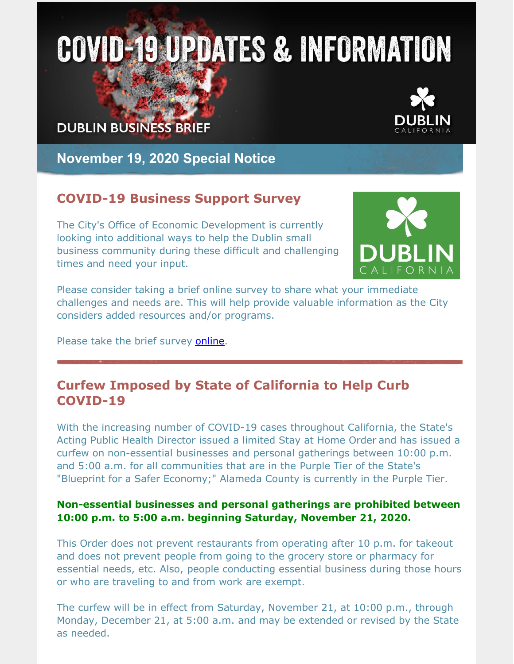# **COVID-19 UPDATES & INFORMATION**

## **DUBLIN BUSINESS BRIEF**



**November 19, 2020 Special Notice**

## **COVID-19 Business Support Survey**

The City's Office of Economic Development is currently looking into additional ways to help the Dublin small business community during these difficult and challenging times and need your input.



Please consider taking a brief online survey to share what your immediate challenges and needs are. This will help provide valuable information as the City considers added resources and/or programs.

Please take the brief survey [online](https://www.surveymonkey.com/r/6TDXFRG).

## **Curfew Imposed by State of California to Help Curb COVID-19**

With the increasing number of COVID-19 cases throughout California, the State's Acting Public Health Director issued a limited Stay at Home Order and has issued a curfew on non-essential businesses and personal gatherings between 10:00 p.m. and 5:00 a.m. for all communities that are in the Purple Tier of the State's "Blueprint for a Safer Economy;" Alameda County is currently in the Purple Tier.

#### **Non-essential businesses and personal gatherings are prohibited between 10:00 p.m. to 5:00 a.m. beginning Saturday, November 21, 2020.**

This Order does not prevent restaurants from operating after 10 p.m. for takeout and does not prevent people from going to the grocery store or pharmacy for essential needs, etc. Also, people conducting essential business during those hours or who are traveling to and from work are exempt.

The curfew will be in effect from Saturday, November 21, at 10:00 p.m., through Monday, December 21, at 5:00 a.m. and may be extended or revised by the State as needed.